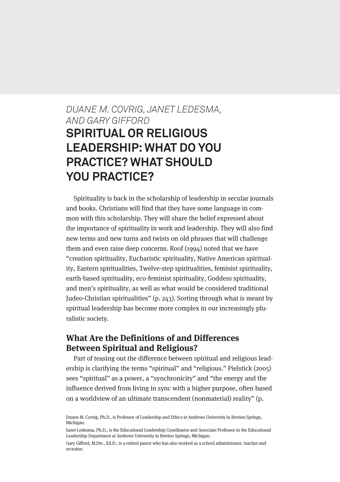# *DUANE M. COVRIG, JANET LEDESMA, AND GARY GIFFORD* **SPIRITUAL OR RELIGIOUS LEADERSHIP: WHAT DO YOU PRACTICE? WHAT SHOULD YOU PRACTICE?**

Spirituality is back in the scholarship of leadership in secular journals and books. Christians will find that they have some language in common with this scholarship. They will share the belief expressed about the importance of spirituality in work and leadership. They will also find new terms and new turns and twists on old phrases that will challenge them and even raise deep concerns. Roof (1994) noted that we have "creation spirituality, Eucharistic spirituality, Native American spirituality, Eastern spiritualities, Twelve-step spiritualities, feminist spirituality, earth-based spirituality, eco-feminist spirituality, Goddess spirituality, and men's spirituality, as well as what would be considered traditional Judeo-Christian spiritualities" (p. 243). Sorting through what is meant by spiritual leadership has become more complex in our increasingly pluralistic society.

## **What Are the Definitions of and Differences Between Spiritual and Religious?**

Part of teasing out the difference between spiritual and religious leadership is clarifying the terms "spiritual" and "religious." Pielstick (2005) sees "spiritual" as a power, a "synchronicity" and "the energy and the influence derived from living in sync with a higher purpose, often based on a worldview of an ultimate transcendent (nonmaterial) reality" (p.

Duane M. Covrig, Ph.D., is Professor of Leadership and Ethics at Andrews University in Berrien Springs, Michigan.

Janet Ledesma, Ph.D., is the Educational Leadership Coordinator and Associate Professor in the Educational Leadership Department at Andrews University in Berrien Springs, Michigan.

Gary Gifford, M.Div., Ed.D., is a retired pastor who has also worked as a school administrator, teacher and recruiter.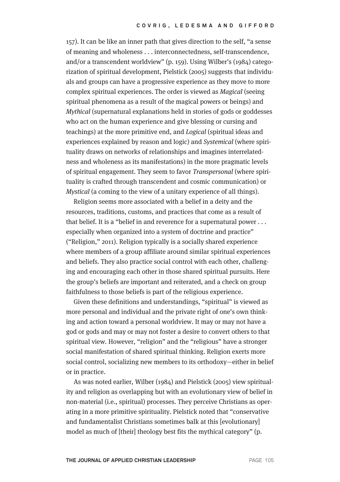157). It can be like an inner path that gives direction to the self, "a sense of meaning and wholeness . . . interconnectedness, self-transcendence, and/or a transcendent worldview" (p. 159). Using Wilber's (1984) categorization of spiritual development, Pielstick (2005) suggests that individuals and groups can have a progressive experience as they move to more complex spiritual experiences. The order is viewed as Magical (seeing spiritual phenomena as a result of the magical powers or beings) and Mythical (supernatural explanations held in stories of gods or goddesses who act on the human experience and give blessing or cursing and teachings) at the more primitive end, and Logical (spiritual ideas and experiences explained by reason and logic) and Systemical (where spirituality draws on networks of relationships and imagines interrelatedness and wholeness as its manifestations) in the more pragmatic levels of spiritual engagement. They seem to favor Transpersonal (where spirituality is crafted through transcendent and cosmic communication) or Mystical (a coming to the view of a unitary experience of all things).

Religion seems more associated with a belief in a deity and the resources, traditions, customs, and practices that come as a result of that belief. It is a "belief in and reverence for a supernatural power . . . especially when organized into a system of doctrine and practice" ("Religion," 2011). Religion typically is a socially shared experience where members of a group affiliate around similar spiritual experiences and beliefs. They also practice social control with each other, challenging and encouraging each other in those shared spiritual pursuits. Here the group's beliefs are important and reiterated, and a check on group faithfulness to those beliefs is part of the religious experience.

Given these definitions and understandings, "spiritual" is viewed as more personal and individual and the private right of one's own thinking and action toward a personal worldview. It may or may not have a god or gods and may or may not foster a desire to convert others to that spiritual view. However, "religion" and the "religious" have a stronger social manifestation of shared spiritual thinking. Religion exerts more social control, socializing new members to its orthodoxy—either in belief or in practice.

As was noted earlier, Wilber (1984) and Pielstick (2005) view spirituality and religion as overlapping but with an evolutionary view of belief in non-material (i.e., spiritual) processes. They perceive Christians as operating in a more primitive spirituality. Pielstick noted that "conservative and fundamentalist Christians sometimes balk at this [evolutionary] model as much of [their] theology best fits the mythical category" (p.

**THE JOURNAL OF APPLIED CHRISTIAN LEADERSHIP** PAGE 105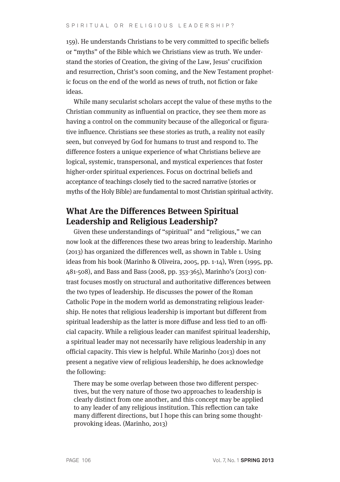159). He understands Christians to be very committed to specific beliefs or "myths" of the Bible which we Christians view as truth. We understand the stories of Creation, the giving of the Law, Jesus' crucifixion and resurrection, Christ's soon coming, and the New Testament prophetic focus on the end of the world as news of truth, not fiction or fake ideas.

While many secularist scholars accept the value of these myths to the Christian community as influential on practice, they see them more as having a control on the community because of the allegorical or figurative influence. Christians see these stories as truth, a reality not easily seen, but conveyed by God for humans to trust and respond to. The difference fosters a unique experience of what Christians believe are logical, systemic, transpersonal, and mystical experiences that foster higher-order spiritual experiences. Focus on doctrinal beliefs and acceptance of teachings closely tied to the sacred narrative (stories or myths of the Holy Bible) are fundamental to most Christian spiritual activity.

## **What Are the Differences Between Spiritual Leadership and Religious Leadership?**

Given these understandings of "spiritual" and "religious," we can now look at the differences these two areas bring to leadership. Marinho (2013) has organized the differences well, as shown in Table 1. Using ideas from his book (Marinho & Oliveira, 2005, pp. 1-14), Wren (1995, pp. 481-508), and Bass and Bass (2008, pp. 353-365), Marinho's (2013) contrast focuses mostly on structural and authoritative differences between the two types of leadership. He discusses the power of the Roman Catholic Pope in the modern world as demonstrating religious leadership. He notes that religious leadership is important but different from spiritual leadership as the latter is more diffuse and less tied to an official capacity. While a religious leader can manifest spiritual leadership, a spiritual leader may not necessarily have religious leadership in any official capacity. This view is helpful. While Marinho (2013) does not present a negative view of religious leadership, he does acknowledge the following:

There may be some overlap between those two different perspectives, but the very nature of those two approaches to leadership is clearly distinct from one another, and this concept may be applied to any leader of any religious institution. This reflection can take many different directions, but I hope this can bring some thoughtprovoking ideas. (Marinho, 2013)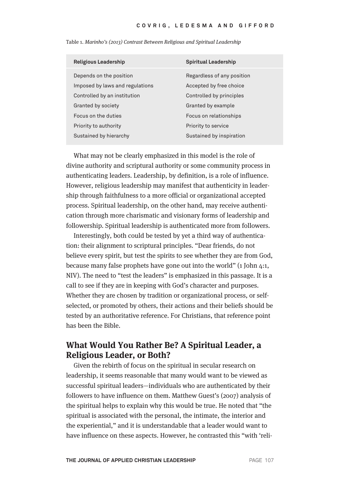| <b>Religious Leadership</b>     | <b>Spiritual Leadership</b> |
|---------------------------------|-----------------------------|
| Depends on the position         | Regardless of any position  |
| Imposed by laws and regulations | Accepted by free choice     |
| Controlled by an institution    | Controlled by principles    |
| Granted by society              | Granted by example          |
| Focus on the duties             | Focus on relationships      |
| Priority to authority           | Priority to service         |
| Sustained by hierarchy          | Sustained by inspiration    |
|                                 |                             |

Table 1. Marinho's (2013) Contrast Between Religious and Spiritual Leadership

What may not be clearly emphasized in this model is the role of divine authority and scriptural authority or some community process in authenticating leaders. Leadership, by definition, is a role of influence. However, religious leadership may manifest that authenticity in leadership through faithfulness to a more official or organizational accepted process. Spiritual leadership, on the other hand, may receive authentication through more charismatic and visionary forms of leadership and followership. Spiritual leadership is authenticated more from followers.

Interestingly, both could be tested by yet a third way of authentication: their alignment to scriptural principles. "Dear friends, do not believe every spirit, but test the spirits to see whether they are from God, because many false prophets have gone out into the world" (1 John 4:1, NIV). The need to "test the leaders" is emphasized in this passage. It is a call to see if they are in keeping with God's character and purposes. Whether they are chosen by tradition or organizational process, or selfselected, or promoted by others, their actions and their beliefs should be tested by an authoritative reference. For Christians, that reference point has been the Bible.

## **What Would You Rather Be? A Spiritual Leader, a Religious Leader, or Both?**

Given the rebirth of focus on the spiritual in secular research on leadership, it seems reasonable that many would want to be viewed as successful spiritual leaders—individuals who are authenticated by their followers to have influence on them. Matthew Guest's (2007) analysis of the spiritual helps to explain why this would be true. He noted that "the spiritual is associated with the personal, the intimate, the interior and the experiential," and it is understandable that a leader would want to have influence on these aspects. However, he contrasted this "with 'reli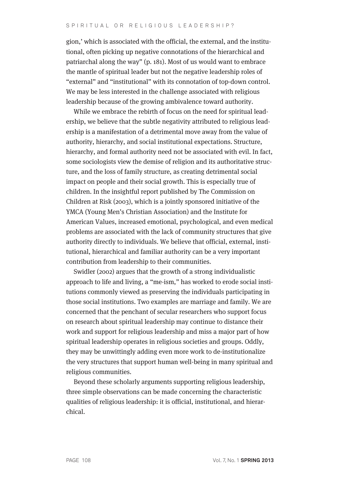gion,' which is associated with the official, the external, and the institutional, often picking up negative connotations of the hierarchical and patriarchal along the way" (p. 181). Most of us would want to embrace the mantle of spiritual leader but not the negative leadership roles of "external" and "institutional" with its connotation of top-down control. We may be less interested in the challenge associated with religious leadership because of the growing ambivalence toward authority.

While we embrace the rebirth of focus on the need for spiritual leadership, we believe that the subtle negativity attributed to religious leadership is a manifestation of a detrimental move away from the value of authority, hierarchy, and social institutional expectations. Structure, hierarchy, and formal authority need not be associated with evil. In fact, some sociologists view the demise of religion and its authoritative structure, and the loss of family structure, as creating detrimental social impact on people and their social growth. This is especially true of children. In the insightful report published by The Commission on Children at Risk (2003), which is a jointly sponsored initiative of the YMCA (Young Men's Christian Association) and the Institute for American Values, increased emotional, psychological, and even medical problems are associated with the lack of community structures that give authority directly to individuals. We believe that official, external, institutional, hierarchical and familiar authority can be a very important contribution from leadership to their communities.

Swidler (2002) argues that the growth of a strong individualistic approach to life and living, a "me-ism," has worked to erode social institutions commonly viewed as preserving the individuals participating in those social institutions. Two examples are marriage and family. We are concerned that the penchant of secular researchers who support focus on research about spiritual leadership may continue to distance their work and support for religious leadership and miss a major part of how spiritual leadership operates in religious societies and groups. Oddly, they may be unwittingly adding even more work to de-institutionalize the very structures that support human well-being in many spiritual and religious communities.

Beyond these scholarly arguments supporting religious leadership, three simple observations can be made concerning the characteristic qualities of religious leadership: it is official, institutional, and hierarchical.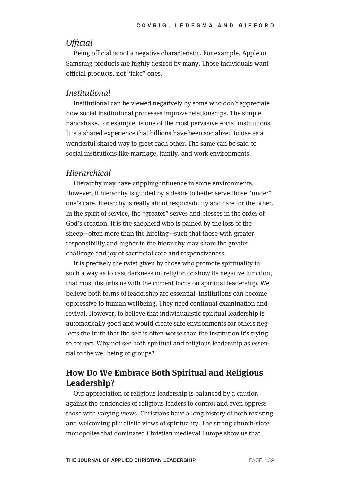## **Official**

Being official is not a negative characteristic. For example, Apple or Samsung products are highly desired by many. Those individuals want official products, not "fake" ones.

#### **Institutional**

Institutional can be viewed negatively by some who don't appreciate how social institutional processes improve relationships. The simple handshake, for example, is one of the most pervasive social institutions. It is a shared experience that billions have been socialized to use as a wonderful shared way to greet each other. The same can be said of social institutions like marriage, family, and work environments.

#### **Hierarchical**

Hierarchy may have crippling influence in some environments. However, if hierarchy is guided by a desire to better serve those "under" one's care, hierarchy is really about responsibility and care for the other. In the spirit of service, the "greater" serves and blesses in the order of God's creation. It is the shepherd who is pained by the loss of the sheep—often more than the hireling—such that those with greater responsibility and higher in the hierarchy may share the greater challenge and joy of sacrificial care and responsiveness.

It is precisely the twist given by those who promote spirituality in such a way as to cast darkness on religion or show its negative function, that most disturbs us with the current focus on spiritual leadership. We believe both forms of leadership are essential. Institutions can become oppressive to human wellbeing. They need continual examination and revival. However, to believe that individualistic spiritual leadership is automatically good and would create safe environments for others neglects the truth that the self is often worse than the institution it's trying to correct. Why not see both spiritual and religious leadership as essential to the wellbeing of groups?

## **How Do We Embrace Both Spiritual and Religious Leadership?**

Our appreciation of religious leadership is balanced by a caution against the tendencies of religious leaders to control and even oppress those with varying views. Christians have a long history of both resisting and welcoming pluralistic views of spirituality. The strong church-state monopolies that dominated Christian medieval Europe show us that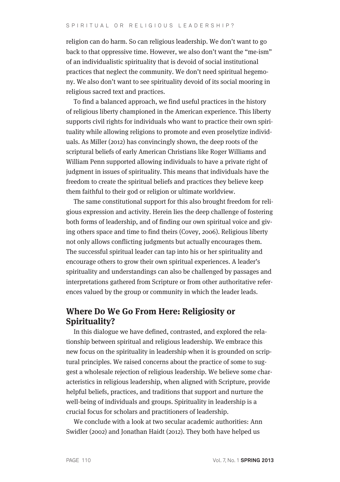#### S P I R I T U A L O R R E L I G I O U S L E A D E R S H I P ?

religion can do harm. So can religious leadership. We don't want to go back to that oppressive time. However, we also don't want the "me-ism" of an individualistic spirituality that is devoid of social institutional practices that neglect the community. We don't need spiritual hegemony. We also don't want to see spirituality devoid of its social mooring in religious sacred text and practices.

To find a balanced approach, we find useful practices in the history of religious liberty championed in the American experience. This liberty supports civil rights for individuals who want to practice their own spirituality while allowing religions to promote and even proselytize individuals. As Miller (2012) has convincingly shown, the deep roots of the scriptural beliefs of early American Christians like Roger Williams and William Penn supported allowing individuals to have a private right of judgment in issues of spirituality. This means that individuals have the freedom to create the spiritual beliefs and practices they believe keep them faithful to their god or religion or ultimate worldview.

The same constitutional support for this also brought freedom for religious expression and activity. Herein lies the deep challenge of fostering both forms of leadership, and of finding our own spiritual voice and giving others space and time to find theirs (Covey, 2006). Religious liberty not only allows conflicting judgments but actually encourages them. The successful spiritual leader can tap into his or her spirituality and encourage others to grow their own spiritual experiences. A leader's spirituality and understandings can also be challenged by passages and interpretations gathered from Scripture or from other authoritative references valued by the group or community in which the leader leads.

## **Where Do We Go From Here: Religiosity or Spirituality?**

In this dialogue we have defined, contrasted, and explored the relationship between spiritual and religious leadership. We embrace this new focus on the spirituality in leadership when it is grounded on scriptural principles. We raised concerns about the practice of some to suggest a wholesale rejection of religious leadership. We believe some characteristics in religious leadership, when aligned with Scripture, provide helpful beliefs, practices, and traditions that support and nurture the well-being of individuals and groups. Spirituality in leadership is a crucial focus for scholars and practitioners of leadership.

We conclude with a look at two secular academic authorities: Ann Swidler (2002) and Jonathan Haidt (2012). They both have helped us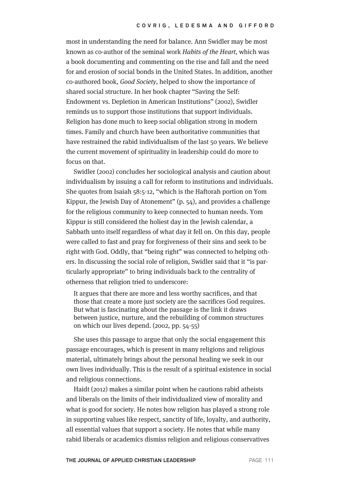most in understanding the need for balance. Ann Swidler may be most known as co-author of the seminal work Habits of the Heart, which was a book documenting and commenting on the rise and fall and the need for and erosion of social bonds in the United States. In addition, another co-authored book, Good Society, helped to show the importance of shared social structure. In her book chapter "Saving the Self: Endowment vs. Depletion in American Institutions" (2002), Swidler reminds us to support those institutions that support individuals. Religion has done much to keep social obligation strong in modern times. Family and church have been authoritative communities that have restrained the rabid individualism of the last 50 years. We believe the current movement of spirituality in leadership could do more to focus on that.

Swidler (2002) concludes her sociological analysis and caution about individualism by issuing a call for reform to institutions and individuals. She quotes from Isaiah 58:5-12, "which is the Haftorah portion on Yom Kippur, the Jewish Day of Atonement" (p. 54), and provides a challenge for the religious community to keep connected to human needs. Yom Kippur is still considered the holiest day in the Jewish calendar, a Sabbath unto itself regardless of what day it fell on. On this day, people were called to fast and pray for forgiveness of their sins and seek to be right with God. Oddly, that "being right" was connected to helping others. In discussing the social role of religion, Swidler said that it "is particularly appropriate" to bring individuals back to the centrality of otherness that religion tried to underscore:

It argues that there are more and less worthy sacrifices, and that those that create a more just society are the sacrifices God requires. But what is fascinating about the passage is the link it draws between justice, nurture, and the rebuilding of common structures on which our lives depend. (2002, pp. 54-55)

She uses this passage to argue that only the social engagement this passage encourages, which is present in many religions and religious material, ultimately brings about the personal healing we seek in our own lives individually. This is the result of a spiritual existence in social and religious connections.

Haidt (2012) makes a similar point when he cautions rabid atheists and liberals on the limits of their individualized view of morality and what is good for society. He notes how religion has played a strong role in supporting values like respect, sanctity of life, loyalty, and authority, all essential values that support a society. He notes that while many rabid liberals or academics dismiss religion and religious conservatives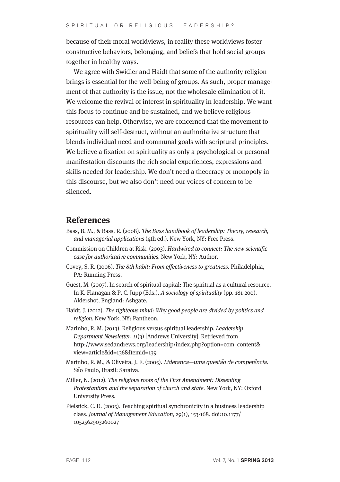because of their moral worldviews, in reality these worldviews foster constructive behaviors, belonging, and beliefs that hold social groups together in healthy ways.

We agree with Swidler and Haidt that some of the authority religion brings is essential for the well-being of groups. As such, proper management of that authority is the issue, not the wholesale elimination of it. We welcome the revival of interest in spirituality in leadership. We want this focus to continue and be sustained, and we believe religious resources can help. Otherwise, we are concerned that the movement to spirituality will self-destruct, without an authoritative structure that blends individual need and communal goals with scriptural principles. We believe a fixation on spirituality as only a psychological or personal manifestation discounts the rich social experiences, expressions and skills needed for leadership. We don't need a theocracy or monopoly in this discourse, but we also don't need our voices of concern to be silenced.

#### **References**

- Bass, B. M., & Bass, R. (2008). The Bass handbook of leadership: Theory, research, and managerial applications (4th ed.). New York, NY: Free Press.
- Commission on Children at Risk. (2003). Hardwired to connect: The new scientific case for authoritative communities. New York, NY: Author.
- Covey, S. R. (2006). The 8th habit: From effectiveness to greatness. Philadelphia, PA: Running Press.
- Guest, M. (2007). In search of spiritual capital: The spiritual as a cultural resource. In K. Flanagan & P. C. Jupp (Eds.), A sociology of spirituality (pp. 181-200). Aldershot, England: Ashgate.
- Haidt, J. (2012). The righteous mind: Why good people are divided by politics and religion. New York, NY: Pantheon.
- Marinho, R. M. (2013). Religious versus spiritual leadership. Leadership Department Newsletter, 11(3) [Andrews University]. Retrieved from http://www.sedandrews.org/leadership/index.php?option=com\_content& view=article&id=136&Itemid=139
- Marinho, R. M., & Oliveira, J. F. (2005). Lideran*̧*ca—uma quest*̃*ao de compet*̂*encia. S*̃*ao Paulo, Brazil: Saraiva.
- Miller, N. (2012). The religious roots of the First Amendment: Dissenting Protestantism and the separation of church and state. New York, NY: Oxford University Press.
- Pielstick, C. D. (2005). Teaching spiritual synchronicity in a business leadership class. Journal of Management Education, 29(1), 153-168. doi:10.1177/ 1052562903260027